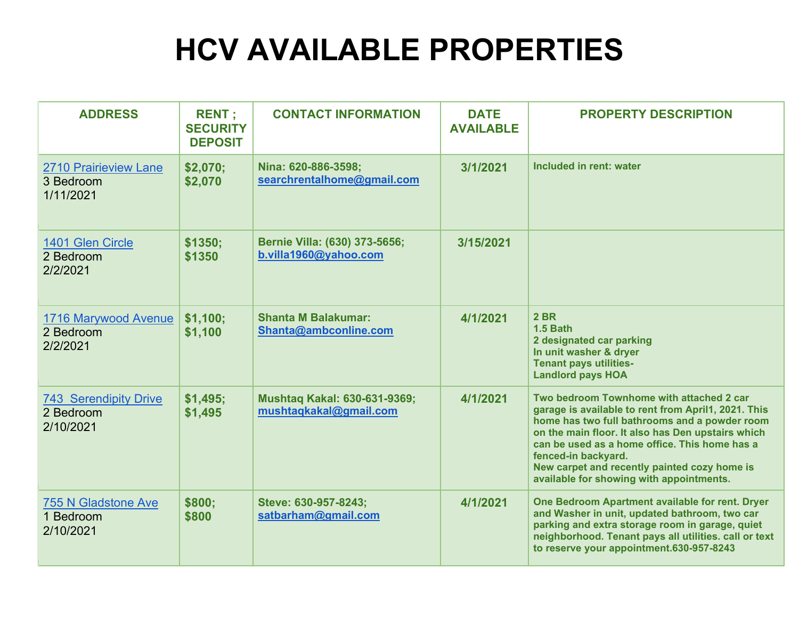## **HCV AVAILABLE PROPERTIES**

| <b>ADDRESS</b>                                         | <b>RENT</b> ;<br><b>SECURITY</b><br><b>DEPOSIT</b> | <b>CONTACT INFORMATION</b>                             | <b>DATE</b><br><b>AVAILABLE</b> | <b>PROPERTY DESCRIPTION</b>                                                                                                                                                                                                                                                                                                                                               |
|--------------------------------------------------------|----------------------------------------------------|--------------------------------------------------------|---------------------------------|---------------------------------------------------------------------------------------------------------------------------------------------------------------------------------------------------------------------------------------------------------------------------------------------------------------------------------------------------------------------------|
| <b>2710 Prairieview Lane</b><br>3 Bedroom<br>1/11/2021 | \$2,070;<br>\$2,070                                | Nina: 620-886-3598;<br>searchrentalhome@gmail.com      | 3/1/2021                        | Included in rent: water                                                                                                                                                                                                                                                                                                                                                   |
| 1401 Glen Circle<br>2 Bedroom<br>2/2/2021              | \$1350;<br>\$1350                                  | Bernie Villa: (630) 373-5656;<br>b.villa1960@yahoo.com | 3/15/2021                       |                                                                                                                                                                                                                                                                                                                                                                           |
| 1716 Marywood Avenue<br>2 Bedroom<br>2/2/2021          | \$1,100;<br>\$1,100                                | <b>Shanta M Balakumar:</b><br>Shanta@ambconline.com    | 4/1/2021                        | <b>2 BR</b><br><b>1.5 Bath</b><br>2 designated car parking<br>In unit washer & dryer<br><b>Tenant pays utilities-</b><br><b>Landlord pays HOA</b>                                                                                                                                                                                                                         |
| <b>743 Serendipity Drive</b><br>2 Bedroom<br>2/10/2021 | \$1,495;<br>\$1,495                                | Mushtaq Kakal: 630-631-9369;<br>mushtaqkakal@gmail.com | 4/1/2021                        | Two bedroom Townhome with attached 2 car<br>garage is available to rent from April1, 2021. This<br>home has two full bathrooms and a powder room<br>on the main floor. It also has Den upstairs which<br>can be used as a home office. This home has a<br>fenced-in backyard.<br>New carpet and recently painted cozy home is<br>available for showing with appointments. |
| <b>755 N Gladstone Ave</b><br>1 Bedroom<br>2/10/2021   | \$800;<br>\$800                                    | Steve: 630-957-8243;<br>satbarham@gmail.com            | 4/1/2021                        | One Bedroom Apartment available for rent. Dryer<br>and Washer in unit, updated bathroom, two car<br>parking and extra storage room in garage, quiet<br>neighborhood. Tenant pays all utilities. call or text<br>to reserve your appointment.630-957-8243                                                                                                                  |